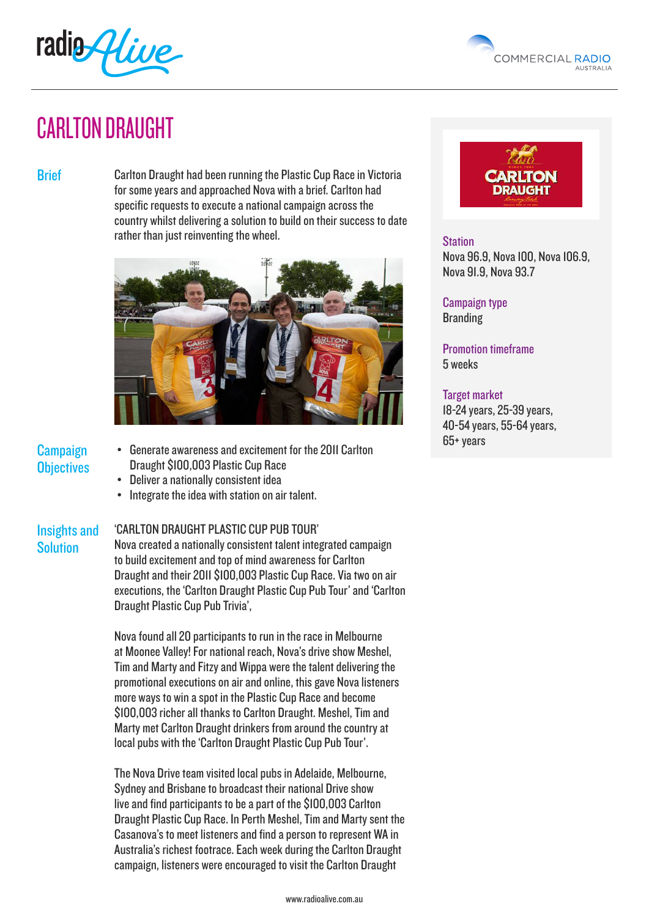



# CARLTON DRAUGHT

Brief **Carlton Draught had been running the Plastic Cup Race in Victoria** for some years and approached Nova with a brief. Carlton had specific requests to execute a national campaign across the country whilst delivering a solution to build on their success to date rather than just reinventing the wheel.



# **Campaign Objectives**

**Solution** 

- Generate awareness and excitement for the 2011 Carlton Draught \$100,003 Plastic Cup Race
- Deliver a nationally consistent idea
- Integrate the idea with station on air talent.

### Insights and 'CARLTON DRAUGHT PLASTIC CUP PUB TOUR'

Nova created a nationally consistent talent integrated campaign to build excitement and top of mind awareness for Carlton Draught and their 2011 \$100,003 Plastic Cup Race. Via two on air executions, the 'Carlton Draught Plastic Cup Pub Tour' and 'Carlton Draught Plastic Cup Pub Trivia',

Nova found all 20 participants to run in the race in Melbourne at Moonee Valley! For national reach, Nova's drive show Meshel, Tim and Marty and Fitzy and Wippa were the talent delivering the promotional executions on air and online, this gave Nova listeners more ways to win a spot in the Plastic Cup Race and become \$100,003 richer all thanks to Carlton Draught. Meshel, Tim and Marty met Carlton Draught drinkers from around the country at local pubs with the 'Carlton Draught Plastic Cup Pub Tour'.

The Nova Drive team visited local pubs in Adelaide, Melbourne, Sydney and Brisbane to broadcast their national Drive show live and find participants to be a part of the \$100,003 Carlton Draught Plastic Cup Race. In Perth Meshel, Tim and Marty sent the Casanova's to meet listeners and find a person to represent WA in Australia's richest footrace. Each week during the Carlton Draught campaign, listeners were encouraged to visit the Carlton Draught



## **Station**

Nova 96.9, Nova 100, Nova 106.9, Nova 91.9, Nova 93.7

Campaign type Branding

Promotion timeframe 5 weeks

### Target market

18-24 years, 25-39 years, 40-54 years, 55-64 years, 65+ years